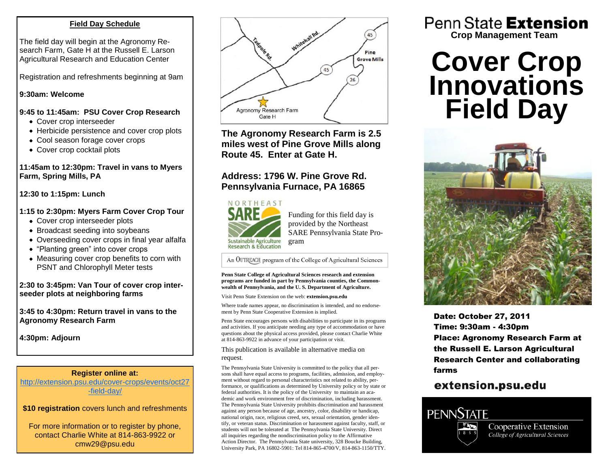### **Field Day Schedule**

The field day will begin at the Agronomy Research Farm, Gate H at the Russell E. Larson Agricultural Research and Education Center

Registration and refreshments beginning at 9am

### **9:30am: Welcome**

### **9:45 to 11:45am: PSU Cover Crop Research**

- Cover crop interseeder
- Herbicide persistence and cover crop plots
- Cool season forage cover crops
- Cover crop cocktail plots

### **11:45am to 12:30pm: Travel in vans to Myers Farm, Spring Mills, PA**

**12:30 to 1:15pm: Lunch**

### **1:15 to 2:30pm: Myers Farm Cover Crop Tour**

- Cover crop interseeder plots
- Broadcast seeding into soybeans
- Overseeding cover crops in final year alfalfa
- "Planting green" into cover crops
- Measuring cover crop benefits to corn with PSNT and Chlorophyll Meter tests

### **2:30 to 3:45pm: Van Tour of cover crop interseeder plots at neighboring farms**

**3:45 to 4:30pm: Return travel in vans to the Agronomy Research Farm**

**4:30pm: Adjourn**

### **Register online at:**

[http://extension.psu.edu/cover-crops/events/oct27](http://extension.psu.edu/cover-crops/events/oct27-field-day/) [-field-day/](http://extension.psu.edu/cover-crops/events/oct27-field-day/)

**\$10 registration** covers lunch and refreshments

For more information or to register by phone, contact Charlie White at 814-863-9922 or cmw29@psu.edu



**The Agronomy Research Farm is 2.5 miles west of Pine Grove Mills along Route 45. Enter at Gate H.**

### **Address: 1796 W. Pine Grove Rd. Pennsylvania Furnace, PA 16865**



Funding for this field day is provided by the Northeast SARE Pennsylvania State Program

An OUTREACH program of the College of Agricultural Sciences

#### **Penn State College of Agricultural Sciences research and extension programs are funded in part by Pennsylvania counties, the Commonwealth of Pennsylvania, and the U. S. Department of Agriculture.**

Visit Penn State Extension on the web: **extension.psu.edu**

Where trade names appear, no discrimination is intended, and no endorsement by Penn State Cooperative Extension is implied.

Penn State encourages persons with disabilities to participate in its programs and activities. If you anticipate needing any type of accommodation or have questions about the physical access provided, please contact Charlie White at 814-863-9922 in advance of your participation or visit.

This publication is available in alternative media on request.

The Pennsylvania State University is committed to the policy that all persons shall have equal access to programs, facilities, admission, and employment without regard to personal characteristics not related to ability, performance, or qualifications as determined by University policy or by state or federal authorities. It is the policy of the University to maintain an academic and work environment free of discrimination, including harassment. The Pennsylvania State University prohibits discrimination and harassment against any person because of age, ancestry, color, disability or handicap, national origin, race, religious creed, sex, sexual orientation, gender identify, or veteran status. Discrimination or harassment against faculty, staff, or students will not be tolerated at The Pennsylvania State University. Direct all inquiries regarding the nondiscrimination policy to the Affirmative Action Director. The Pennsylvania State university, 328 Boucke Building, University Park, PA 16802-5901: Tel 814-865-4700/V, 814-863-1150/TTY.

Penn State Extension **Crop Management Team**

# **Cover Crop Innovations Field Day**



Date: October 27, 2011 Time: 9:30am - 4:30pm Place: Agronomy Research Farm at the Russell E. Larson Agricultural Research Center and collaborating farms

## extension.psu.edu



Cooperative Extension College of Agricultural Sciences